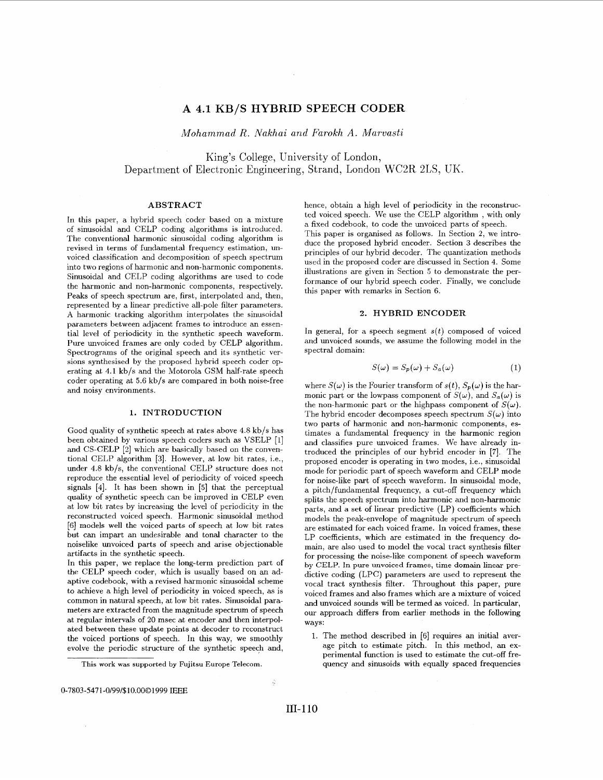# **A 4.1 KB/S HYBRID SPEECH CODER**

 $\sim$ 

*Mohammad R. Nakhai and Farokh A. Marvasti* 

King's College, University of London, Department of Electronic Engineering, Strand, London WC2R 2LS, UK.

### **ABSTRACT**

In this paper, a hybrid speech coder based on a mixture of sinusoidal and CELP coding algorithms is introduced. The conventional harmonic sinusoidal coding algorithm is revised in terms of fundamental frequency estimation, unvoiced classification and decomposition of speech spectrum into two regions of harmonic and non-harmonic components. Sinusoidal and CELP coding algorithms are used to code the harmonic and non-harmonic components, respectively. Peaks of speech spectrum are, first, interpolated and, then, represented by a linear predictive all-pole filter parameters. **A** harmonic tracking algorithm interpolates the sinusoidal parameters between adjacent frames to introduce an essential level of periodicity in the synthetic speech waveform. Pure unvoiced frames are only coded by CELP algorithm. Spectrograms of the original speech and its synthetic versions synthesised by the proposed hybrid speech coder operating at **4.1** kb/s and the Motorola GSM half-rate speech coder operating at 5.6 **kb/s** are compared in both noise-free and noisy environments.

#### **1. INTRODUCTION**

Good quality of synthetic speech at rates above 4.8 kb/s has been obtained by various speech coders such as VSELP **[l]**  and CS-CELP [2] which are basically based on the conventional CELP algorithm *[3].* However, at low bit rates, i.e., under **4.8** kb/s, the conventional CELP structure does not reproduce the essential level of periodicity of voiced speech signals **[4].** It has been shown in *[5]* that the perceptual quality of synthetic speech can be improved in CELP even at low bit rates by increasing the level of periodicity in the reconstructed voiced speech. Harmonic sinusoidal method [6] models well the voiced parts of speech at low bit rates but can impart an undesirable and tonal character to the noiselike unvoiced parts of speech and arise objectionable artifacts in the synthetic speech.

In this paper, we replace the long-term prediction part of the CELP speech coder, which is usually based on an adaptive codebook, with a revised harmonic sinusoidal scheme to achieve a high level of periodicity in voiced speech, as is common in natural speech, at low bit rates. Sinusoidal parameters are extracted from the magnitude spectrum of speech at regular intervals of **20** msec at encoder and then interpolated between these update points at decoder to reconstruct the voiced portions of speech. In this way, we smoothly evolve the periodic structure of the synthetic speech and,

hence, obtain a high level of periodicity in the reconstructed voiced speech. We use the CELP algorithm , with only a fixed codebook, to code the unvoiced parts of speech. This paper is organised as follows. In Section *2,* we introduce the proposed hybrid encoder. Section *3* describes the principles of our hybrid decoder. The quantization methods used in the proposed coder are discussed in Section 4. Some illustrations are given in Section 5 to demonstrate the performance of our hybrid speech coder. Finally, we conclude this paper with remarks in Section 6.

#### **2. HYBRID ENCODER**

In general, for a speech segment  $s(t)$  composed of voiced and unvoiced sounds, we assume the following model in the spectral domain:

$$
S(\omega) = S_p(\omega) + S_a(\omega)
$$
 (1)

where  $S(\omega)$  is the Fourier transform of  $s(t)$ ,  $S_p(\omega)$  is the harmonic part or the lowpass component of  $S(\omega)$ , and  $S_a(\omega)$  is the non-harmonic part or the highpass component of  $S(\omega)$ . The hybrid encoder decomposes speech spectrum  $S(\omega)$  into two parts of harmonic and non-harmonic components, estimates a fundamental frequency in the harmonic region and classifies pure unvoiced frames. We have already introduced the principles of **our** hybrid encoder in *[7].* The proposed encoder is operating in two modes, i.e., sinusoidal mode for periodic part of speech waveform and CELP mode for noise-like part of speech waveform. In sinusoidal mode, a pitch/fundamental frequency, a cut-off frequency which splits the speech spectrum into harmonic and non-harmonic parts, and a set of linear predictive (LP) coefficients which models the peak-envelope of magnitude spectrum of speech are estimated for each voiced frame. In voiced frames, these LP coefficients, which are estimated in the frequency domain, are also used to model the vocal tract synthesis filter for processing the noise-like component of speech waveform **by** CELP. In **pure unvoiced** frames, time domain linear **pre**dictive coding (LPC) parameters are used to represent the vocal tract synthesis filter. Throughout this paper, pure voiced frames and also frames which are a mixture of voiced and unvoiced sounds will be termed as voiced. In particular, **our** approach differs from earlier methods in the following ways:

1. The method described in [6] requires an initial average pitch to estimate pitch. In this method, an experimental function is used to estimate the cut-off frequency and sinusoids with equally spaced frequencies

 $\dot{g}$ 

This work was supported by Fujitsu Europe Telecom.

<sup>0-7803-547</sup> **1** -0/99/\$10.0001999 **IEEE**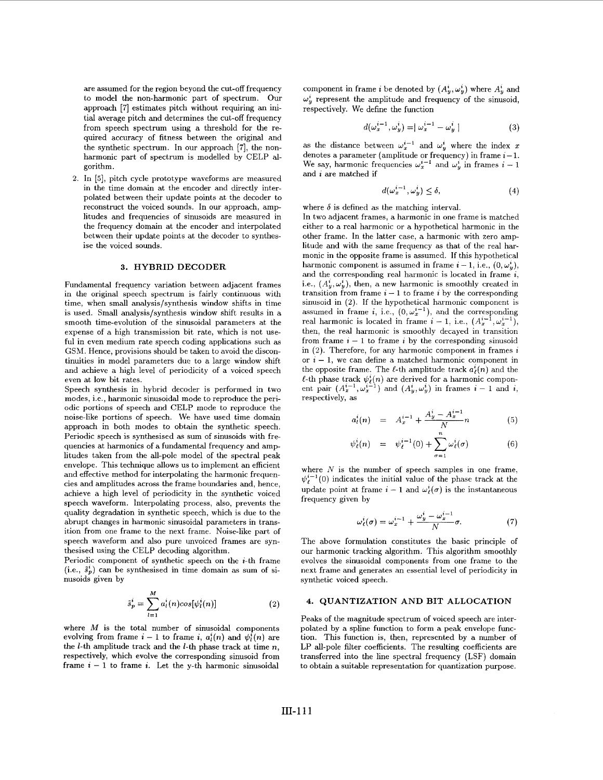are assumed for the region beyond the cut-off frequency to model the non-harmonic part of spectrum. Our approach [7] estimates pitch without requiring an initial average pitch and determines the cut-off frequency from speech spectrum using a threshold for the required accuracy of fitness between the original and the synthetic spectrum. In our approach *[7],* the nonharmonic part of spectrum is modelled by CELP algorithm.

2. In *[5],* pitch cycle prototype waveforms are measured in the time domain at the encoder and directly interpolated between their update points at the decoder to reconstruct the voiced sounds. In our approach, amplitudes and frequencies of sinusoids are measured in the frequency domain at the encoder and interpolated between their update points at the decoder to synthesise the voiced sounds.

#### **3. HYBRID DECODER**

Fundamental frequency variation between adjacent frames in the original speech spectrum is fairly continuous with time, when small analysis/synthesis window shifts in time is used. Small analysis/synthesis window shift results in a smooth time-evolution of the sinusoidal parameters at the expense of a high transmission bit rate, which is not useful in even medium rate speech coding applications such as GSM. Hence, provisions should be taken to avoid the discontinuities in model parameters due to a large window shift and achieve a high level of periodicity of a voiced speech even at low bit rates.

Speech synthesis in hybrid decoder is performed in two modes, i.e., harmonic sinusoidal mode to reproduce the periodic portions of speech and CELP mode to reproduce the noise-like portions of speech. We have used time domain approach in both modes to obtain the synthetic speech. Periodic speech is synthesised as sum of sinusoids with frequencies at harmonics of a fundamental frequency and amplitudes taken from the all-pole model of the spectral peak envelope. This technique allows us to implement an efficient and effective method for interpolating the harmonic frequencies and amplitudes across the frame boundaries and, hence, achieve a high level of periodicity in the synthetic voiced speech waveform. Interpolating process, also, prevents the quality degradation in synthetic speech, which is due to the abrupt changes in harmonic sinusoidal parameters in transition from one frame to the next frame. Noise-like part of speech waveform and also pure unvoiced frames are synthesised using the CELP decoding algorithm.

Periodic component of synthetic speech on the  $i$ -th frame  $(i.e., \tilde{s}_{p}^{i})$  can be synthesised in time domain as sum of sinusoids given by

$$
\tilde{s}_p^i = \sum_{l=1}^M a_l^i(n) \cos[\psi_l^i(n)] \tag{2}
$$

where *M* is the total number of sinusoidal components evolving from frame  $i-1$  to frame i,  $a_i^i(n)$  and  $\psi_i^i(n)$  are the  $l$ -th amplitude track and the  $l$ -th phase track at time  $n$ , respectively, which evolve the corresponding sinusoid from frame  $i - 1$  to frame *i*. Let the y-th harmonic sinusoidal

component in frame *i* be denoted by  $(A_y^i, \omega_y^i)$  where  $A_y^i$  and  $\omega_{\nu}^{i}$  represent the amplitude and frequency of the sinusoid, respectively. We define the function

$$
d(\omega_x^{i-1}, \omega_y^i) = |\omega_x^{i-1} - \omega_y^i|
$$
 (3)

as the distance between  $\omega_x^{i-1}$  and  $\omega_y^i$  where the index x denotes a parameter (amplitude or frequency) in frame  $i-1$ . We say, harmonic frequencies  $\omega_x^{i-1}$  and  $\omega_y^i$  in frames  $i-1$ and *i* are matched if

$$
d(\omega_x^{i-1}, \omega_y^i) \le \delta,\tag{4}
$$

where  $\delta$  is defined as the matching interval.

In two adjacent frames, a harmonic in one frame is matched either to a real harmonic or a hypothetical harmonic in the other frame. In the latter case, a harmonic with zero amplitude and with the same frequency as that of the real harmonic in the opposite frame is assumed. If this hypothetical harmonic component is assumed in frame  $i - 1$ , i.e.,  $(0, \omega_i^i)$ , and the corresponding real harmonic is located in frame *i,*  i.e.,  $(A_n^i, \omega_n^i)$ , then, a new harmonic is smoothly created in transition from frame  $i - 1$  to frame  $i$  by the corresponding sinusoid in (2). If the hypothetical harmonic component is assumed in frame *i*, i.e.,  $(0, \omega_x^{i-1})$ , and the corresponding real harmonic is located in frame  $i-1$ , i.e.,  $(A_x^{i-1}, \omega_x^{i-1})$ then, the real harmonic is smoothly decayed in transition from frame  $i - 1$  to frame  $i$  by the corresponding sinusoid in (2). Therefore, for any harmonic component in frames *<sup>i</sup>* or  $i - 1$ , we can define a matched harmonic component in the opposite frame. The  $\ell$ -th amplitude track  $a_{\ell}^{i}(n)$  and the  $\ell$ -th phase track  $\psi_{\ell}^{i}(n)$  are derived for a harmonic component pair  $(A_{\mathbf{x}}^{i-1}, \omega_{\mathbf{x}}^{i-1})$  and  $(A_{\mathbf{y}}^{i}, \omega_{\mathbf{y}}^{i})$  in frames  $i - 1$  and  $i$ , respectively, as

$$
a_l^i(n) = A_x^{i-1} + \frac{A_y^i - A_x^{i-1}}{N}n \tag{5}
$$

$$
\psi_{\ell}^{i}(n) = \psi_{\ell}^{i-1}(0) + \sum_{\sigma=1}^{n} \omega_{\ell}^{i}(\sigma)
$$
 (6)

where  $N$  is the number of speech samples in one frame,  $\psi_{\ell}^{i-1}(0)$  indicates the initial value of the phase track at the update point at frame  $i - 1$  and  $\omega_f^i(\sigma)$  is the instantaneous frequency given by

$$
\omega_{\ell}^{i}(\sigma) = \omega_{x}^{i-1} + \frac{\omega_{y}^{i} - \omega_{x}^{i-1}}{N}\sigma.
$$
 (7)

The above formulation constitutes the basic principle of our harmonic tracking algorithm. This algorithm smoothly evolves the sinusoidal components from one frame to the next frame and generates an essential level of periodicity in synthetic voiced speech.

### **4. QUANTIZATION AND BIT ALLOCATION**

Peaks of the magnitude spectrum of voiced speech are interpolated by a spline function to form a peak envelope function. This function is, then, represented by a number of LP all-pole filter coefficients. The resulting coefficients are transferred into the line spectral frequency (LSF) domain to obtain a suitable representation for quantization purpose.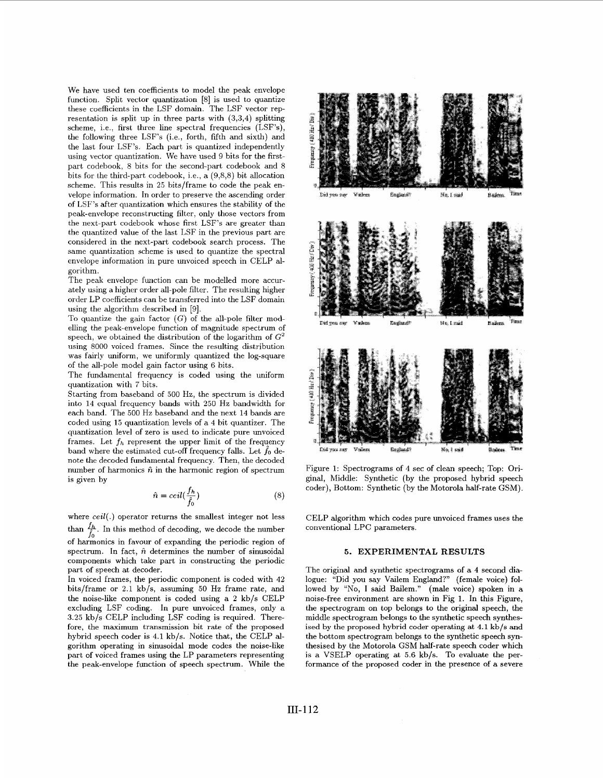We have used ten coefficients to model the peak envelope function. Split vector quantization [8] is used to quantize these coefficients in the LSF domain. The LSF vector representation is split up in three parts with **(3,3,4)** splitting scheme, i.e., first three line spectral frequencies (LSF's), the following three LSF's (i.e., forth, fifth and sixth) and the last four LSF's. Each part is quantized independently using vector quantization. We have used 9 bits for the firstpart codebook, *8* bits for the second-part codebook and *8*  bits for the third-part codebook, i.e., a *(9,8,8)* bit allocation scheme. This results in **25** bits/frame to code the peak envelope information. In order to preserve the ascending order of LSF's after quantization which ensures the stability of the peak-envelope reconstructing filter, only those vectors from the next-part codebook whose first LSF's are greater than the quantized value of the last LSF in the previous part are considered in the next-part codebook search process. The same quantization scheme is used to quantize the spectral envelope information in pure unvoiced speech in CELP algorithm.

The peak envelope function can be modelled more accurately using a higher order all-pole filter. The resulting higher order LP coefficients can be transferred into the LSF domain using the algorithm described in *[9].* 

To quantize the gain factor  $(G)$  of the all-pole filter modelling the peak-envelope function of magnitude spectrum of speech, we obtained the distribution of the logarithm of  $G^2$ using 8000 voiced frames. Since the resulting distribution was fairly uniform, we uniformly quantized the log-square of the all-pole model gain factor using 6 bits.

The fundamental frequency is coded using the uniform quantization with 7 bits.

Starting from baseband of 500 Hz, the spectrum is divided into 14 equal frequency bands with **250** Hz bandwidth for each band. The 500 Hz baseband and the next 14 bands are coded using **15** quantization levels of a **4** bit quantizer. The quantization level of zero is used to indicate pure unvoiced frames. Let  $f_h$  represent the upper limit of the frequency band where the estimated cut-off frequency falls. Let  $f_0$  denote the decoded fundamental frequency. Then, the decoded number of harmonics  $\hat{n}$  in the harmonic region of spectrum is given by

$$
\hat{n} = ceil(\frac{f_h}{\hat{f}_0})\tag{8}
$$

where  $ceil(.)$  operator returns the smallest integer not less than  $\frac{f_h}{f_0}$ . In this method of decoding, we decode the number <sup>10</sup> of harmonics in favour of expanding the periodic region of spectrum. In fact,  $\hat{n}$  determines the number of sinusoidal components which take part in constructing the periodic part of speech at decoder.

In voiced frames, the periodic component is coded with **42**  bits/frame or **2.1** kb/s, assuming **50** Hz frame rate, and the noise-like component is coded using a **2** kb/s CELP excluding LSF coding. In pure unvoiced frames, only a **3.25** kb/s CELP including LSF coding is required. Therefore, the maximum transmission bit rate of the proposed hybrid speech coder is **4.1** kb/s. Notice that, the CELP algorithm operating in sinusoidal mode codes the noise-like part of voiced frames using the LP parameters representing the peak-envelope function of speech spectrum. While the



Figure **1:** Spectrograms of **4** sec of clean speech; Top: Original, Middle: Synthetic (by the proposed hybrid speech coder), Bottom: Synthetic (by the Motorola half-rate GSM).

CELP algorithm which codes pure unvoiced frames uses the conventional LPC parameters.

### **5. EXPERIMENTAL RESULTS**

The original and synthetic spectrograms of a **4** second dialogue: "Did you say Vailem England?" (female voice) followed by "No, I said Bailem." (male voice) spoken in a noise-free environment are shown in Fig **1.** In this Figure, the spectrogram on top belongs to the original speech, the middle spectrogram belongs to the synthetic speech synthesised **by** the proposed hybrid coder operating at **4.1** kb/s and the bottom spectrogram belongs to the synthetic speech synthesised by the Motorola GSM half-rate speech coder which is a VSELP operating at *5.6* kb/s. To evaluate the performance of the proposed coder in the presence of a severe